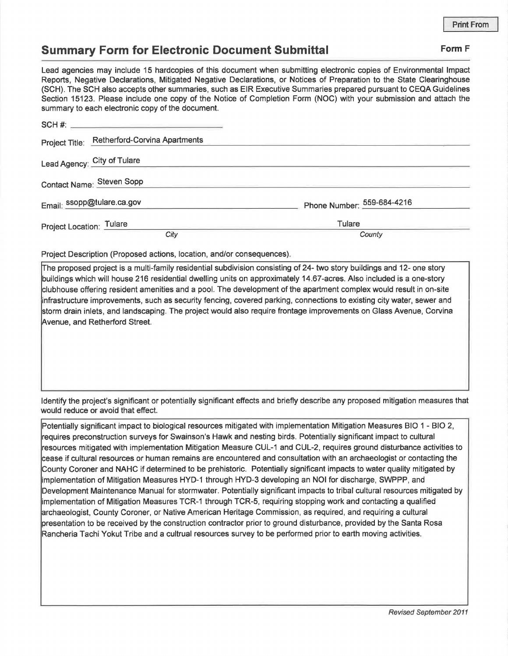## **Summary Form for Electronic Document Submittal Form F Form F**

Lead agencies may include 15 hardcopies of this document when submitting electronic copies of Environmental Impact Reports, Negative Declarations, Mitigated Negative Declarations, or Notices of Preparation to the State Clearinghouse (SCH). The SCH also accepts other summaries, such as EIR Executive Summaries prepared pursuant to CEQA Guidelines Section 15123. Please include one copy of the Notice of Completion Form (NOC) with your submission and attach the summary to each electronic copy of the document.

| www.community.com/www.community.com/www.community/www.community/ |                            |
|------------------------------------------------------------------|----------------------------|
|                                                                  |                            |
| <b>Retherford-Corvina Apartments</b><br>Project Title:           |                            |
| Lead Agency: City of Tulare                                      |                            |
| Contact Name: Steven Sopp                                        |                            |
| Email: ssopp@tulare.ca.gov                                       | Phone Number: 559-684-4216 |
| Project Location: Tulare                                         | Tulare                     |
| City                                                             | County                     |

Project Description (Proposed actions, location, and/or consequences).

The proposed project is a multi-family residential subdivision consisting of 24- two story buildings and 12- one story buildings which will house 216 residential dwelling units on approximately 14.67-acres. Also included is a one-story clubhouse offering resident amenities and a pool. The development of the apartment complex would result in on-site infrastructure improvements, such as security fencing, covered parking, connections to existing city water, sewer and storm drain inlets, and landscaping. The project would also require frontage improvements on Glass Avenue, Corvina Avenue, and Retherford Street.

Identify the project's significant or potentially significant effects and briefly describe any proposed mitigation measures that would reduce or avoid that effect.

Potentially significant impact to biological resources mitigated with implementation Mitigation Measures BIO 1 - BIO 2, requires preconstruction surveys for Swainson's Hawk and nesting birds. Potentially significant impact to cultural resources mitigated with implementation Mitigation Measure CUL-1 and CUL-2, requires ground disturbance activities to cease if cultural resources or human remains are encountered and consultation with an archaeologist or contacting the County Coroner and NAHC if determined to be prehistoric. Potentially significant impacts to water quality mitigated by implementation of Mitigation Measures HYD-1 through HYD-3 developing an NOi for discharge, SWPPP, and Development Maintenance Manual for stormwater. Potentially significant impacts to tribal cultural resources mitigated by implementation of Mitigation Measures TCR-1 through TCR-5, requiring stopping work and contacting a qualified archaeologist, County Coroner, or Native American Heritage Commission, as required, and requiring a cultural presentation to be received by the construction contractor prior to ground disturbance, provided by the Santa Rosa Rancheria Tachi Yokut Tribe and a cultrual resources survey to be performed prior to earth moving activities.